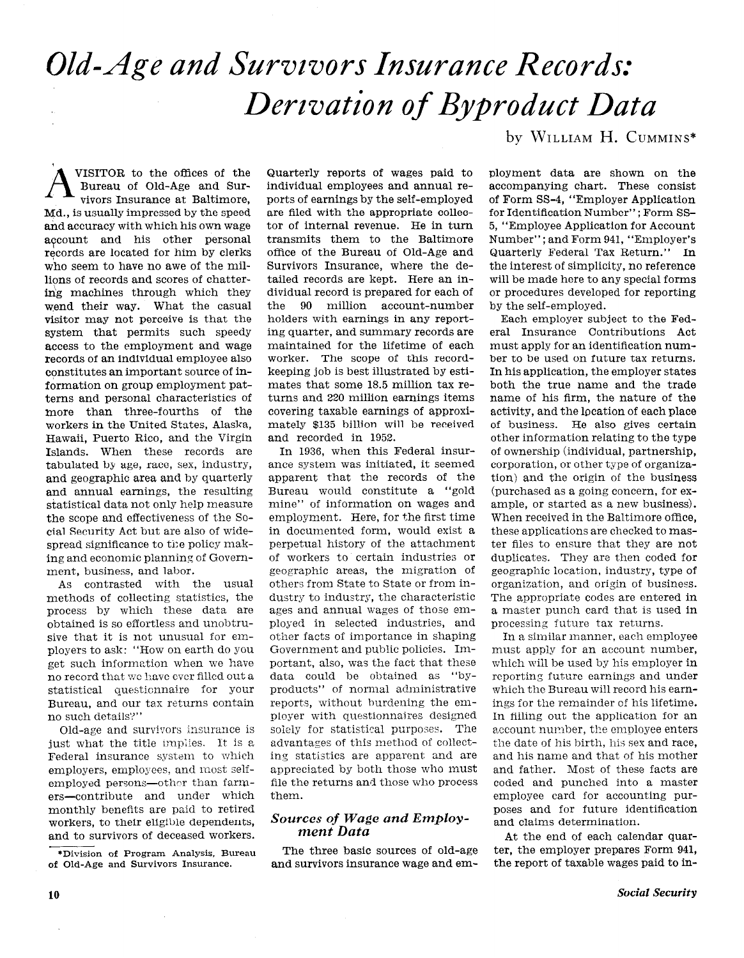# Old-Age and Survivors Insurance Records: Derivation of Byproduct Data

VISITOR to the offices of the Bureau of Old-Age and Survivors Insurance at Baltimore, Md., is usually impressed by the speed and accuracy with which his own wage account and his other personal records are located for him by clerks who seem to have no awe of the millions of records and scores of chattering machines through which they wend their way. What the casual visitor may not perceive is that the system that permits such speedy access to the employment and wage records of an individual employee also constitutes an important source of information on group employment patterns and personal characteristics of more than three-fourths of the workers in the United States, Alaska, Hawaii, Puerto Rico, and the Virgin Islands. When these records are tabulated by age, race, sex, industry, and geographic area and by quarterly and annual earnings, the resulting statistical data not only help measure the scope and effectiveness of the Social Security Act but are also of widespread significance to the policy making and economic planning of Government, business, and labor.

As contrasted with the usual methods of collecting statistics, the process by which these data are obtained is so effortless and unobtrusive that it is not unusual for employers to ask: "How on earth do you get such information when we have no record that we have ever filled out a statistical questionnaire for your Bureau, and our tax returns contain no such details?"

Old-age and survivors insurance is just what the title implies. It is a Federal insurance system to which employers, employees, and most selfemployed persons-other than farmers-contribute and under which monthly benefits are paid to retired workers, to their eligible dependents, and to survivors of deceased workers.

\*Division of Program Analysis, Bureau of Old-Age and Survivors Insurance.

Quarterly reports of wages paid to individual employees and annual reports of earnings by the self-employed are filed with the appropriate collector of internal revenue. He in turn transmits them to the Baltimore office of the Bureau of Old-Age and Survivors Insurance, where the detailed records are kept. Here an individual record is prepared for each of the 90 million account-number holders with earnings in any reporting quarter, and summary records are maintained for the lifetime of each worker. The scope of this recordkeeping job is best illustrated by estimates that some 18.5 million tax returns and 220 million earnings items covering taxable earnings of approximately \$135 billion will be received and recorded in 1952.

In 1936, when this Federal insurance system was initiated, it seemed apparent that the records of the Bureau would constitute a "gold mine" of information on wages and employment. Here, for the first time in documented form, would exist a perpetual history of the attachment of workers to certain industries or geographic areas, the migration of others from State to State or from industry to industry, the characteristic ages and annual wages of those employed in selected industries, and other facts of importance in shaping Government and public policies. Important, also, was the fact that these data could be obtained as "byproducts" of normal administrative reports, without burdening the employer with questionnaires designed solely for statistical purposes. The advantages of this method of collecting statistics are apparent and are appreciated by both those who must file the returns and those who process them.

### Sources of Wage and Employment Data

The three basic sources of old-age and survivors insurance wage and emby WILLIAM H. CUMMINS\*

ployment data are shown on the accompanying chart. These consist of Form 88-4, "Employer Application for Identification Number"; Form SS-5, "Employee Application for Account Number"; and Form 941, "Employer's Quarterly Federal Tax Return." In the interest of simplicity, no reference will be made here to any special forms or procedures developed for reporting by the self-employed.

Each employer subject to the Federal Insurance Contributions Act must apply for an identification number to be used on future tax returns. In his application, the employer states both the true name and the trade name of his firm, the nature of the activity, and the location of each place of business. He also gives certain other information relating to the type of ownership (individual, partnership, corporation, or other type of organization) and the origin of the business (purchased as a going concern, for example, or started as a new business). When received in the Baltimore office, these applications are checked to master files to ensure that they are not duplicates. They are then coded for geographic location, industry, type of organization, and origin of business. The appropriate codes are entered in a master punch card that is used in processing future tax returns.

In a similar manner, each employee must apply for an account number, which will be used by his employer in reporting future earnings and under which the Bureau will record his earnings for the remainder of his lifetime. In filling out the application for an account number, the employee enters the date of his birth, his sex and race, and his name and that of his mother and father. Most of these facts are coded and punched into a master employee card for accounting purposes and for future identification and claims determination.

At the end of each calendar quarter, the employer prepares Form 941, the report of taxable wages paid to in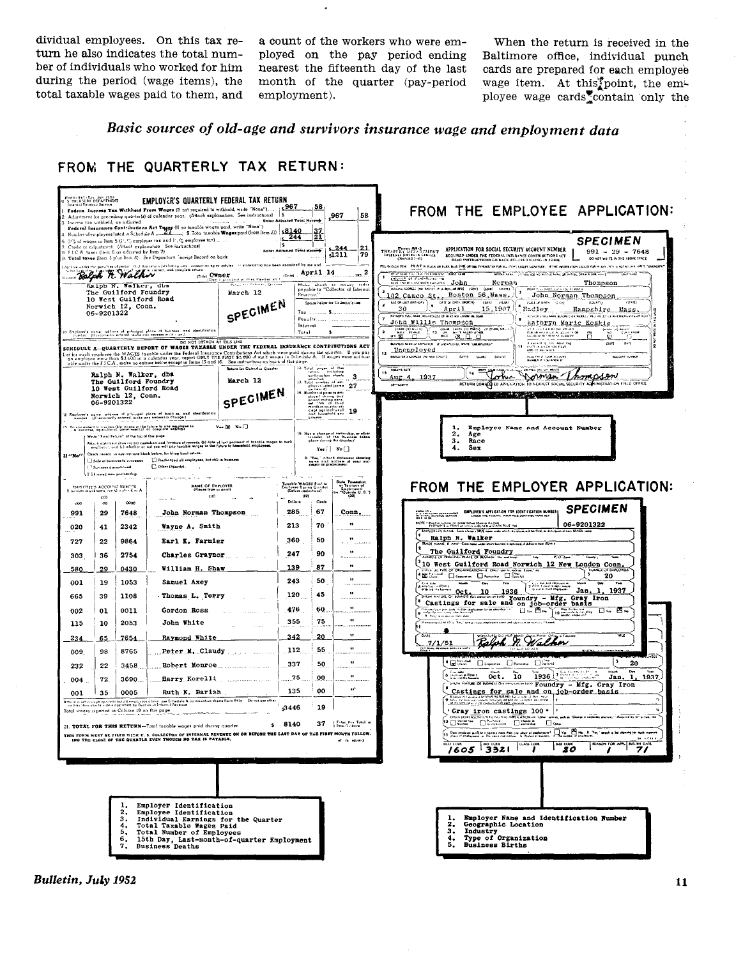dividual employees. On this tax re- a count of the workers who were em-<br>turn he also indicates the total num- ployed on the pay period ending Baltimore office, individual punch total taxable wages paid to them, and

turn he also indicates the total num-<br>ber of individuals who worked for him nearest the fifteenth day of the last cards are prepared for each employee ber of individuals who worked for him nearest the fifteenth day of the last cards are prepared for each employee during the period (wage items), the month of the quarter (pay-period) wage item. At this point, the employee month of the quarter (pay-period employment).

wage item. At this point, the employee wage cards contain only the

Basic sources of old-age and survivors insurance wage and employment data





Bulletin, July 1952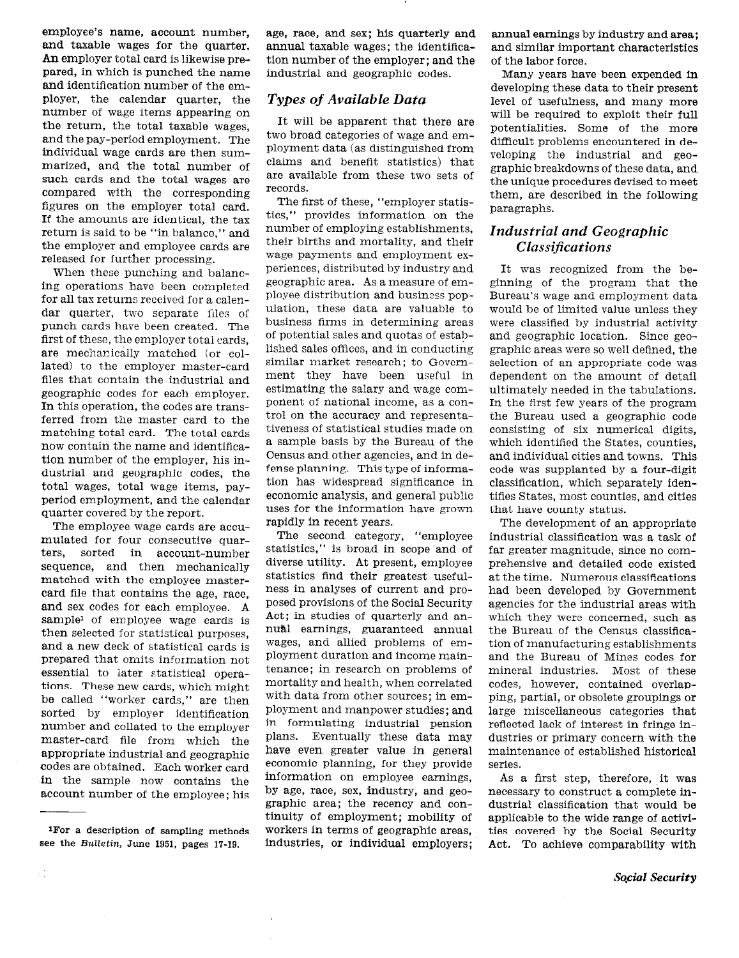employee's name, account number, and taxable wages for the quarter. An employer total card is likewise prepared, in which is punched the name and identification number of the employer, the calendar quarter, the number of wage items appearing on the return, the total taxable wages, and the pay-period employment. The individual wage cards are then summarized, and the total number of such cards and the total wages are compared with the corresponding figures on the employer total card. If the amounts are identical, the tax return is said to be "in balance," and the employer and employee cards are released for further processing.

When these punching and balancing operations have been completed for all tax returns received for a calendar quarter, two separate files of punch cards have been created. The first of these, the employer total cards, are mechanically matched (or collated) to the employer master-card files that contain the industrial and geographic codes for each employer. In this operation, the codes are transferred from the master card to the matching total card. The total cards now contain the name and identification number of the employer, his industrial and geographic codes, the total wages, total wage items, payperiod employment, and the calendar quarter covered by the report.

The employee wage cards are accumulated for four consecutive quarters, sorted in account-number sequence, and then mechanically matched with the employee mastercard file that contains the age, race, and sex codes for each employee. A sample' of employee wage cards is then selected for statistical purposes, and a new deck of statistical cards is prepared that omits information not essential to later statistical operations. These new cards, which might be called "worker cards," are then sorted by employer identification number and collated to the employer master-card file from which the appropriate industrial and geographic codes are obtained. Each worker card in the sample now contains the account number of the employee; his

 $\bar{1}$ 

 $\mathbb{R}^3_+$ 

age, race, and sex; his quarterly and annual taxable wages; the identification number of the employer; and the industrial and geographic codes.

## Types oj Available Data

It will be apparent that there are two broad categories of wage and employment data (as distinguished from claims and benefit statistics) that are available from these two sets of records.

The first of these, "employer statistics," provides information on the number of employing establishments, their births and mortality, and their wage payments and employment experiences, distributed by industry and geographic area. As a measure of employee distribution and business population, these data are valuable to business firms in determining areas of potential sales and quotas of established sales offices, and in conducting similar market research; to Government they have been useful in estimating the salary and wage component of national income, as a control on the accuracy and representativeness of statistical studies made on a sample basis by the Bureau of the Census and other agencies, and in defense planning. This type of information has widespread significance in economic analysis, and general public uses for the information have grown rapidly in recent years.

The second category, "employee statistics," is broad in scope and of diverse utility. At present, employee statistics find their greatest usefulness in analyses of current and proposed provisions of the Social Security Act; in studies of quarterly and annual earnings, guaranteed annual wages, and allied problems of employment duration and income maintenance; in research on problems of mortality and health, when correlated with data from other sources; in employment and manpower studies; and in formulating industrial pension plans. Eventually these data may have even greater value in general economic planning, for they provide information on employee earnings, by age, race, sex, industry, and geographic area; the recency and continuity of employment; mobility of workers in terms of geographic areas, industries, or individual employers; annual earnings by industry and area; and similar important characteristics of the labor force.

Many years have been expended in developing these data to their present level of usefulness, and many more will be required to exploit their full potentialities. Some of the more difficult problems encountered in developing the industrial and geographic breakdowns of these data, and the unique procedures devised to meet them, are described in the following paragraphs.

# Industrial and Geographic Classifications

It was recognized from the beginning of the program that the Bureau's wage and employment data would be of limited value unless they were classified by industrial activity and geographic location. Since geographic areas were so well defined, the selection of an appropriate code was dependent on the amount of detail ultimately needed in the tabulations. In the first few years of the program the Bureau used a geographic code consisting of six numerical digits, which identified the States, counties, and individual cities and towns. This code was supplanted by a four-digit classification, which separately identifies States, most counties, and cities that have county status.

The development of an appropriate industrial classification was a task of far greater magnitude, since no comprehensive and detailed code existed at the time. Numerous classifications had been developed by Government agencies for the industrial areas with which they were concerned, such as the Bureau of the Census classification of manufacturing establishments and the Bureau of Mines codes for mineral industries. Most of these codes, however, contained overlapping, partial, or obsolete groupings or large miscellaneous categories that reflected lack of interest in fringe industries or primary concern with the maintenance of established historical series.

As a first step, therefore, it was necessary to construct a complete industrial classification that would be applicable to the wide range of activities covered by the Social Security Act. To achieve comparability with

<sup>1</sup>For a description of sampling methods see the Bulletin, June 1951, pages 17-19.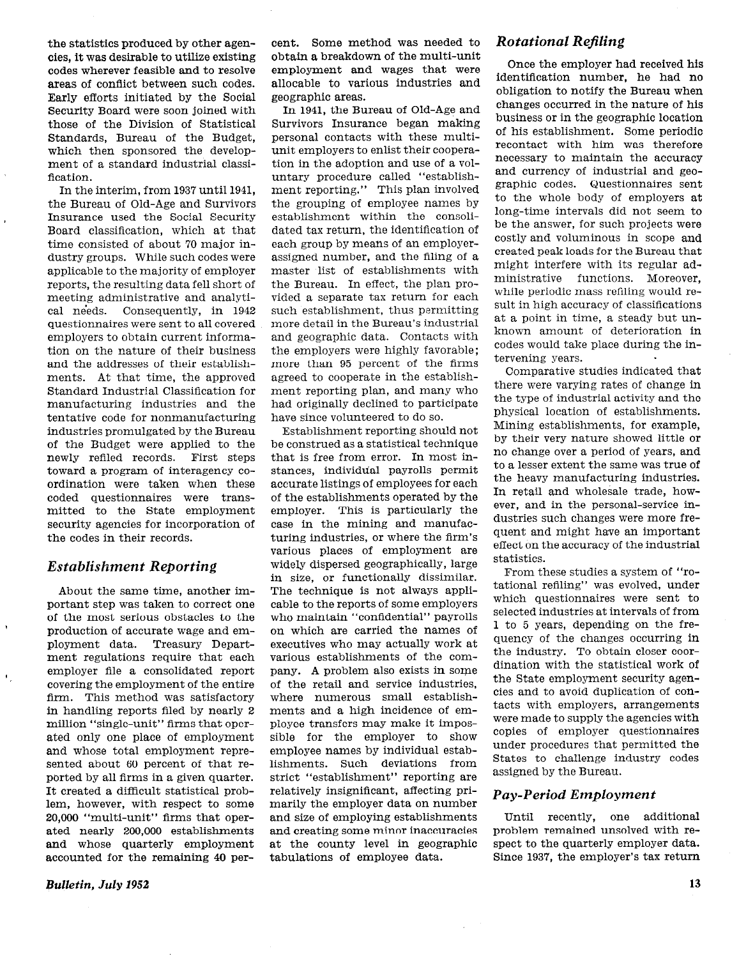the statistics produced by other agencies, it was desirable to utilize existing codes wherever feasible and to resolve areas of conflict between such codes. Early efforts initiated by the Social Security Board were soon joined with those of the Division of Statistical Standards, Bureau of the Budget, which then sponsored the development of a standard industrial classification.

In the interim, from 1937 until 1941, the Bureau of Old-Age and Survivors Insurance used the Social Security Board classification, which at that time consisted of about 70 major industry groups. While such codes were applicable to the majority of employer reports, the resulting data fell short of meeting administrative and analytical needs. Consequently, in 1942 questionnaires were sent to all covered employers to obtain current information on the nature of their business and the addresses of their establishments. At that time, the approved Standard Industrial Classification for manufacturing industries and the tentative code for nonmanufacturing industries promulgated by the Bureau of the Budget were applied to the newly refiled records. First steps toward a program of interagency coordination were taken when these coded questionnaires were transmitted to the State employment security agencies for incorporation of the codes in their records.

#### Establishment Reporting

About the same time, another important step was taken to correct one of the most serious obstacles to the production of accurate wage and employment data. Treasury Department regulations require that each employer file a consolidated report covering the employment of the entire firm. This method was satisfactory in handling reports filed by nearly 2 million "single-unit" firms that operated only one place of employment and whose total employment represented about 60 percent of that reported by all firms in a given quarter. It created a difficult statistical problem, however, with respect to some 20,000 "multi-unit" firms that operated nearly 200,000 establishments and whose quarterly employment accounted for the remaining 40 percent. Some method was needed to obtain a breakdown of the multi-unit employment and wages that were allocable to various industries and geographic areas.

In 1941, the Bureau of Old-Age and Survivors Insurance began making personal contacts with these multiunit employers to enlist their cooperation in the adoption and use of a voluntary procedure called "establishment reporting." This plan involved the grouping of employee names by establishment within the consolidated tax return, the identification of each group by means of an employerassigned number, and the filing of a master list of establishments with the Bureau. In effect, the plan provided a separate tax return for each such establishment, thus permitting more detail in the Bureau's industrial and geographic data. Contacts with the employers were highly favorable; more than 95 percent of the firms agreed to cooperate in the establishment reporting plan, and many who had originally declined to participate have since volunteered to do so.

Establishment reporting should not be construed as a statistical technique that is free from error. In most instances, individual payrolls permit accurate listings of employees for each of the establishments operated by the employer. This is particularly the case in the mining and manufacturing industries, or where the firm's various places of employment are widely dispersed geographically, large in size, or functionally dissimilar. The technique is not always applicable to the reports of some employers who maintain "confidential" payrolls on which are carried the names of executives who may actually work at various establishments of the company. A problem also exists in some of the retail and service industries, where numerous small establishments and a high incidence of employee transfers may make it impossible for the employer to show employee names by individual establishments. Such deviations from strict "establishment" reporting are relatively insignificant, affecting primarily the employer data on number and size of employing establishments and creating some minor inaccuracies at the county level in geographic tabulations of employee data.

## Rotational Refiling

Once the employer had received his identification number, he had no obligation to notify the Bureau when changes occurred in the nature of his business or in the geographic location of his establishment. Some periodic recontact with him was therefore necessary to maintain the accuracy and currency of industrial and geographic codes. Questionnaires sent to the whole body of employers at long-time intervals did not seem to be the answer, for such projects were costly and voluminous in scope and created peak loads for the Bureau that might interfere with its regular administrative functions. Moreover, while periodic mass refiling would result in high accuracy of classifications at a point in time, a steady but unknown amount of deterioration in codes would take place during the intervening years.

Comparative studies indicated that there were varying rates of change in the type of industrial activity and the physical location of establishments. Mining establishments, for example, by their very nature showed little or no change over a period of years, and to a lesser extent the same was true of the heavy manufacturing industries. In retail and wholesale trade, however, and in the personal-service industries such changes were more frequent and might have an important effect on the accuracy of the industrial statistics.

From these studies a system of "rotational refiling" was evolved, under which questionnaires were sent to selected industries at intervals of from 1 to 5 years, depending on the frequency of the changes occurring in the industry. To obtain closer coordination with the statistical work of the State employment security agencies and to avoid duplication of contacts with employers, arrangements were made to supply the agencies with copies of employer questionnaires under procedures that permitted the States to challenge industry codes assigned by the Bureau.

## Pay-Period Employment

Until recently, one additional problem remained unsolved with respect to the quarterly employer data. Since 1937, the employer's tax return